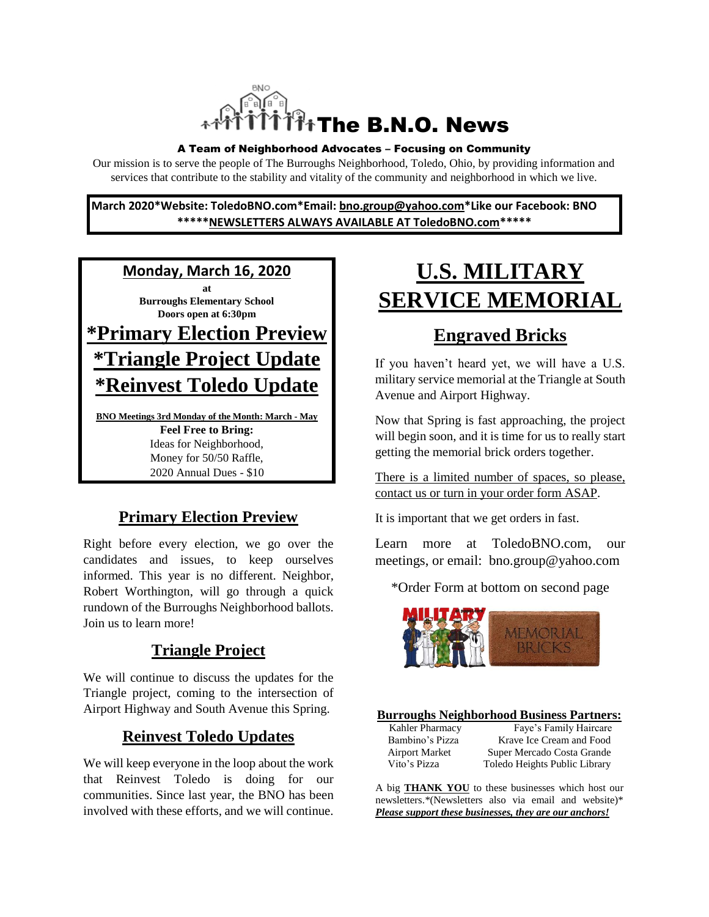

#### A Team of Neighborhood Advocates – Focusing on Community

Our mission is to serve the people of The Burroughs Neighborhood, Toledo, Ohio, by providing information and services that contribute to the stability and vitality of the community and neighborhood in which we live.

**March 2020\*Website: ToledoBNO.com\*Email: bno.group@yahoo.com\*Like our Facebook: BNO \*\*\*\*\*NEWSLETTERS ALWAYS AVAILABLE AT ToledoBNO.com\*\*\*\*\***

**Monday, March 16, 2020**

**at Burroughs Elementary School Doors open at 6:30pm \*Primary Election Preview**

# **\*Triangle Project Update**

**\*Reinvest Toledo Update**

**BNO Meetings 3rd Monday of the Month: March - May Feel Free to Bring:**  Ideas for Neighborhood, Money for 50/50 Raffle, 2020 Annual Dues - \$10

### **Primary Election Preview**

Right before every election, we go over the candidates and issues, to keep ourselves informed. This year is no different. Neighbor, Robert Worthington, will go through a quick rundown of the Burroughs Neighborhood ballots. Join us to learn more!

### **Triangle Project**

We will continue to discuss the updates for the Triangle project, coming to the intersection of Airport Highway and South Avenue this Spring.

### **Reinvest Toledo Updates**

We will keep everyone in the loop about the work that Reinvest Toledo is doing for our communities. Since last year, the BNO has been involved with these efforts, and we will continue.

# **U.S. MILITARY SERVICE MEMORIAL**

# **Engraved Bricks**

If you haven't heard yet, we will have a U.S. military service memorial at the Triangle at South Avenue and Airport Highway.

Now that Spring is fast approaching, the project will begin soon, and it is time for us to really start getting the memorial brick orders together.

There is a limited number of spaces, so please, contact us or turn in your order form ASAP.

It is important that we get orders in fast.

Learn more at ToledoBNO.com, our meetings, or email: bno.group@yahoo.com

\*Order Form at bottom on second page



#### **Burroughs Neighborhood Business Partners:**

| Kahler Pharmacy |        |
|-----------------|--------|
| Bambino's Pizza | Kra    |
| Airport Market  | Super  |
| Vito's Pizza    | Toledo |
|                 |        |

Faye's Family Haircare ive Ice Cream and Food Mercado Costa Grande Heights Public Library

A big **THANK YOU** to these businesses which host our newsletters.\*(Newsletters also via email and website)\* *Please support these businesses, they are our anchors!*